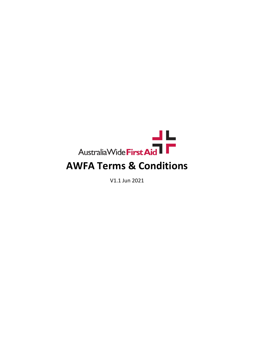

V1.1 Jun 2021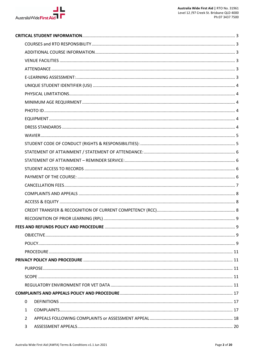

|  | 0              |  |
|--|----------------|--|
|  | $\mathbf{1}$   |  |
|  | $\overline{2}$ |  |
|  | 3              |  |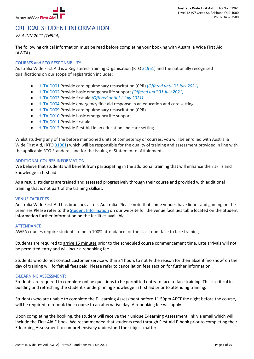

# CRITICAL STUDENT INFORMATION

*V2.4 JUN 2021 (TH924)*

The following critical information must be read before completing your booking with Australia Wide First Aid (AWFA).

# COURSES and RTO RESPONSIBILITY

Australia Wide First Aid is a Registered Training Organisation (RTO 31961) and the nationally recognised qualifications on our scope of registration includes:

- HLTAID001 Provide cardiopulmonary resuscitation (CPR) *(Offered until 31 July 2021)*
- HLTAID002 Provide basic emergency life support *(Offered until 31 July 2021)*
- HLTAID003 Provide first aid *(Offered until 31 July 2021)*
- HLTAID004 Provide emergency first aid response in an education and care setting
- HLTAID009 Provide cardiopulmonary resuscitation (CPR)
- HLTAID010 Provide basic emergency life support
- HLTAID011 Provide first aid
- HLTAID012 Provide First Aid in an education and care setting

Whilst studying any of the before mentioned units of competency or courses, you will be enrolled with Australia Wide First Aid, (RTO 31961) which will be responsible for the quality of training and assessment provided in line with the applicable RTO Standards and for the issuing of Statement of Attainments.

# ADDITIONAL COURSE INFORMATION

We believe that students will benefit from participating in the additional training that will enhance their skills and knowledge in first aid.

As a result, students are trained and assessed progressively through their course and provided with additional training that is not part of the training skillset.

#### VENUE FACILITIES

Australia Wide First Aid has branches across Australia. Please note that some venues have liquor and gaming on the premises Please refer to the Student Information on our website for the venue facilities table located on the Student information further information on the facilities available.

#### **ATTENDANCE**

AWFA courses require students to be in 100% attendance for the classroom face to face training.

Students are required to arrive 15 minutes prior to the scheduled course commencement time. Late arrivals will not be permitted entry and will incur a rebooking fee.

Students who do not contact customer service within 24 hours to notify the reason for their absent 'no show' on the day of training will forfeit all fees paid. Please refer to cancellation fees section for further information.

# E-LEARNING ASSESSMENT:

Students are required to complete online questions to be permitted entry to face to face training. This is critical in building and refreshing the student's underpinning knowledge in first aid prior to attending training.

Students who are unable to complete the E-Learning Assessment before 11.59pm AEST the night before the course, will be required to rebook their course to an alternative day. A rebooking fee will apply.

Upon completing the booking, the student will receive their unique E-learning Assessment link via email which will include the First Aid E-book. We recommended that students read through First Aid E-book prior to completing their E-learning Assessment to comprehensively understand the subject matter.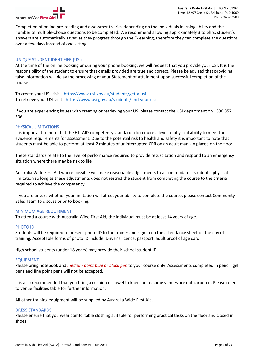

Completion of online pre-reading and assessment varies depending on the individuals learning ability and the number of multiple-choice questions to be completed. We recommend allowing approximately 3 to 6hrs, student's answers are automatically saved as they progress through the E-learning, therefore they can complete the questions over a few days instead of one sitting.

# UNIQUE STUDENT IDENTIFIER (USI)

At the time of the online booking or during your phone booking, we will request that you provide your USI. It is the responsibility of the student to ensure that details provided are true and correct. Please be advised that providing false information will delay the processing of your Statement of Attainment upon successful completion of the course.

To create your USI visit - https://www.usi.gov.au/students/get-a-usi To retrieve your USI visit - https://www.usi.gov.au/students/find-your-usi

If you are experiencing issues with creating or retrieving your USI please contact the USI department on 1300 857 536

# PHYSICAL LIMITATIONS

It is important to note that the HLTAID competency standards do require a level of physical ability to meet the evidence requirements for assessment. Due to the potential risk to health and safety it is important to note that students must be able to perform at least 2 minutes of uninterrupted CPR on an adult manikin placed on the floor.

These standards relate to the level of performance required to provide resuscitation and respond to an emergency situation where there may be risk to life.

Australia Wide First Aid where possible will make reasonable adjustments to accommodate a student's physical limitation so long as these adjustments does not restrict the student from completing the course to the criteria required to achieve the competency.

If you are unsure whether your limitation will affect your ability to complete the course, please contact Community Sales Team to discuss prior to booking.

#### MINIMUM AGE REQUIRMENT

To attend a course with Australia Wide First Aid, the individual must be at least 14 years of age.

#### PHOTO ID

Students will be required to present photo ID to the trainer and sign in on the attendance sheet on the day of training. Acceptable forms of photo ID include: Driver's licence, passport, adult proof of age card.

High school students (under 18 years) may provide their school student ID.

#### EQUIPMENT

Please bring notebook and *medium point blue or black pen* to your course only. Assessments completed in pencil, gel pens and fine point pens will not be accepted.

It is also recommended that you bring a cushion or towel to kneel on as some venues are not carpeted. Please refer to venue facilities table for further information.

All other training equipment will be supplied by Australia Wide First Aid.

#### DRESS STANDARDS

Please ensure that you wear comfortable clothing suitable for performing practical tasks on the floor and closed in shoes.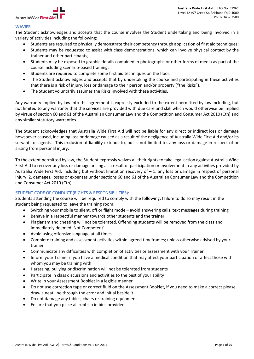

# WAVIER

The Student acknowledges and accepts that the course involves the Student undertaking and being involved in a variety of activities including the following:

- Students are required to physically demonstrate their competency through application of first aid techniques;
- Students may be requested to assist with class demonstrations, which can involve physical contact by the trainer and other participants;
- Students may be exposed to graphic details contained in photographs or other forms of media as part of the course including scenario-based training;
- Students are required to complete some first aid techniques on the floor.
- The Student acknowledges and accepts that by undertaking the course and participating in these activities that there is a risk of injury, loss or damage to their person and/or property ("the Risks").
- The Student voluntarily assumes the Risks involved with these activities.

Any warranty implied by law into this agreement is expressly excluded to the extent permitted by law including, but not limited to any warranty that the services are provided with due care and skill which would otherwise be implied by virtue of section 60 and 61 of the Australian Consumer Law and the Competition and Consumer Act 2010 (Cth) and any similar statutory warranties.

The Student acknowledges that Australia Wide First Aid will not be liable for any direct or indirect loss or damage howsoever caused, including loss or damage caused as a result of the negligence of Australia Wide First Aid and/or its servants or agents. This exclusion of liability extends to, but is not limited to, any loss or damage in respect of or arising from personal injury.

To the extent permitted by law, the Student expressly waives all their rights to take legal action against Australia Wide First Aid to recover any loss or damage arising as a result of participation or involvement in any activities provided by Australia Wide First Aid, including but without limitation recovery of – 1. any loss or damage in respect of personal injury; 2. damages, losses or expenses under sections 60 and 61 of the Australian Consumer Law and the Competition and Consumer Act 2010 (Cth).

# STUDENT CODE OF CONDUCT (RIGHTS & RESPONSIBILITIES):

Students attending the course will be required to comply with the following; failure to do so may result in the student being requested to leave the training room:

- Switching your mobile to silent, off or flight mode avoid answering calls, text messages during training
- Behave in a respectful manner towards other students and the trainer
- Plagiarism and cheating will not be tolerated. Offending students will be removed from the class and immediately deemed 'Not Competent'
- Avoid using offensive language at all times
- Complete training and assessment activities within agreed timeframes; unless otherwise advised by your trainer
- Communicate any difficulties with completion of activities or assessment with your Trainer
- Inform your Trainer if you have a medical condition that may affect your participation or affect those with whom you may be training with
- Harassing, bullying or discrimination will not be tolerated from students
- Participate in class discussions and activities to the best of your ability
- Write in your Assessment Booklet in a legible manner
- Do not use correction tape or correct fluid on the Assessment Booklet, if you need to make a correct please draw a neat line through the error and initial beside it
- Do not damage any tables, chairs or training equipment
- Ensure that you place all rubbish in bins provided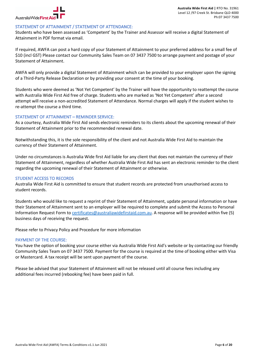

# STATEMENT OF ATTAINMENT / STATEMENT OF ATTENDANCE:

Students who have been assessed as 'Competent' by the Trainer and Assessor will receive a digital Statement of Attainment in PDF format via email.

If required, AWFA can post a hard copy of your Statement of Attainment to your preferred address for a small fee of \$10 (incl GST) Please contact our Community Sales Team on 07 3437 7500 to arrange payment and postage of your Statement of Attainment.

AWFA will only provide a digital Statement of Attainment which can be provided to your employer upon the signing of a Third-Party Release Declaration or by providing your consent at the time of your booking.

Students who were deemed as 'Not Yet Competent' by the Trainer will have the opportunity to reattempt the course with Australia Wide First Aid free of charge. Students who are marked as 'Not Yet Competent' after a second attempt will receive a non-accredited Statement of Attendance. Normal charges will apply if the student wishes to re-attempt the course a third time.

# STATEMENT OF ATTAINMENT – REMINDER SERVICE:

As a courtesy, Australia Wide First Aid sends electronic reminders to its clients about the upcoming renewal of their Statement of Attainment prior to the recommended renewal date.

Notwithstanding this, it is the sole responsibility of the client and not Australia Wide First Aid to maintain the currency of their Statement of Attainment.

Under no circumstances is Australia Wide first Aid liable for any client that does not maintain the currency of their Statement of Attainment, regardless of whether Australia Wide First Aid has sent an electronic reminder to the client regarding the upcoming renewal of their Statement of Attainment or otherwise.

#### STUDENT ACCESS TO RECORDS

Australia Wide First Aid is committed to ensure that student records are protected from unauthorised access to student records.

Students who would like to request a reprint of their Statement of Attainment, update personal information or have their Statement of Attainment sent to an employer will be required to complete and submit the Access to Personal Information Request Form to certificates@australiawidefirstaid.com.au. A response will be provided within five (5) business days of receiving the request.

Please refer to Privacy Policy and Procedure for more information

# PAYMENT OF THE COURSE:

You have the option of booking your course either via Australia Wide First Aid's website or by contacting our friendly Community Sales Team on 07 3437 7500. Payment for the course is required at the time of booking either with Visa or Mastercard. A tax receipt will be sent upon payment of the course.

Please be advised that your Statement of Attainment will not be released until all course fees including any additional fees incurred (rebooking fee) have been paid in full.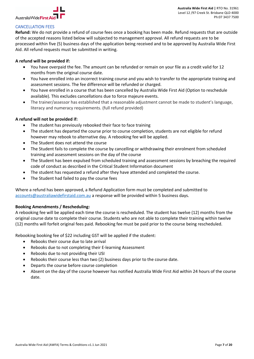

# CANCELLATION FEES

**Refund:** We do not provide a refund of course fees once a booking has been made. Refund requests that are outside of the accepted reasons listed below will subjected to management approval. All refund requests are to be processed within five (5) business days of the application being received and to be approved by Australia Wide First Aid. All refund requests must be submitted in writing.

# **A refund will be provided if:**

- You have overpaid the fee. The amount can be refunded or remain on your file as a credit valid for 12 months from the original course date.
- You have enrolled into an incorrect training course and you wish to transfer to the appropriate training and assessment sessions. The fee difference will be refunded or charged.
- You have enrolled in a course that has been cancelled by Australia Wide First Aid (Option to reschedule available). This excludes cancellations due to force majeure events.
- The trainer/assessor has established that a reasonable adjustment cannot be made to student's language, literacy and numeracy requirements. (full refund provided)

# **A refund will not be provided if:**

- The student has previously rebooked their face to face training
- The student has departed the course prior to course completion, students are not eligible for refund however may rebook to alternative day. A rebooking fee will be applied.
- The Student does not attend the course
- The Student fails to complete the course by cancelling or withdrawing their enrolment from scheduled training and assessment sessions on the day of the course
- The Student has been expulsed from scheduled training and assessment sessions by breaching the required code of conduct as described in the Critical Student Information document
- The student has requested a refund after they have attended and completed the course.
- The Student had failed to pay the course fees

Where a refund has been approved, a Refund Application form must be completed and submitted to accounts@australiawidefirstaid.com.au a response will be provided within 5 business days.

# **Booking Amendments / Rescheduling:**

A rebooking fee will be applied each time the course is rescheduled. The student has twelve (12) months from the original course date to complete their course. Students who are not able to complete their training within twelve (12) months will forfeit original fees paid. Rebooking fee must be paid prior to the course being rescheduled.

Rebooking booking fee of \$22 including GST will be applied if the student:

- Rebooks their course due to late arrival
- Rebooks due to not completing their E-learning Assessment
- Rebooks due to not providing their USI
- Rebooks their course less than two (2) business days prior to the course date.
- Departs the course before course completion
- Absent on the day of the course however has notified Australia Wide First Aid within 24 hours of the course date.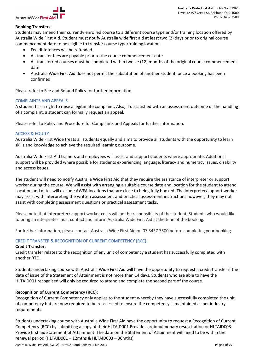

# **Booking Transfers:**

Students may amend their currently enrolled course to a different course type and/or training location offered by Australia Wide First Aid. Student must notify Australia wide first aid at least two (2) days prior to original course commencement date to be eligible to transfer course type/training location.

- Fee differences will be refunded.
- All transfer fees are payable prior to the course commencement date
- All transferred courses must be completed within twelve (12) months of the original course commencement date
- Australia Wide First Aid does not permit the substitution of another student, once a booking has been confirmed

Please refer to Fee and Refund Policy for further information.

# COMPLAINTS AND APPEALS

A student has a right to raise a legitimate complaint. Also, if dissatisfied with an assessment outcome or the handling of a complaint, a student can formally request an appeal.

Please refer to Policy and Procedure for Complaints and Appeals for further information.

# ACCESS & EQUITY

Australia Wide First Wide treats all students equally and aims to provide all students with the opportunity to learn skills and knowledge to achieve the required learning outcome.

Australia Wide First Aid trainers and employees will assist and support students where appropriate. Additional support will be provided where possible for students experiencing language, literacy and numeracy issues, disability and access issues.

The student will need to notify Australia Wide First Aid that they require the assistance of interpreter or support worker during the course. We will assist with arranging a suitable course date and location for the student to attend. Location and dates will exclude AWFA locations that are close to being fully booked. The interpreter/support worker may assist with interpreting the written assessment and practical assessment instructions however, they may not assist with completing assessment questions or practical assessment tasks.

Please note that interpreter/support worker costs will be the responsibility of the student. Students who would like to bring an interpreter must contact and inform Australia Wide First Aid at the time of the booking.

For further information, please contact Australia Wide First Aid on 07 3437 7500 before completing your booking.

# CREDIT TRANSFER & RECOGNITION OF CURRENT COMPETENCY (RCC)

#### **Credit Transfer:**

Credit transfer relates to the recognition of any unit of competency a student has successfully completed with another RTO.

Students undertaking course with Australia Wide First Aid will have the opportunity to request a credit transfer if the date of issue of the Statement of Attainment is not more than 14 days. Students who are able to have the HLTAID001 recognised will only be required to attend and complete the second part of the course.

# **Recognition of Current Competency (RCC):**

Recognition of Current Competency only applies to the student whereby they have successfully completed the unit of competency but are now required to be reassessed to ensure the competency is maintained as per industry requirements.

Students undertaking course with Australia Wide First Aid have the opportunity to request a Recognition of Current Competency (RCC) by submitting a copy of their HLTAID001 Provide cardiopulmonary resuscitation or HLTAID003 Provide first aid Statement of Attainment. The date on the Statement of Attainment will need to be within the renewal period (HLTAID001 – 12mths & HLTAID003 – 36mths)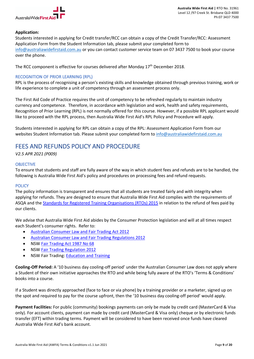

# **Application:**

Students interested in applying for Credit transfer/RCC can obtain a copy of the Credit Transfer/RCC: Assessment Application Form from the Student Information tab, please submit your completed form to info@australiawidefirstaid.com.au or you can contact customer service team on 07 3437 7500 to book your course over the phone.

The RCC component is effective for courses delivered after Monday  $17<sup>th</sup>$  December 2018.

# RECOGNITION OF PRIOR LEARNING (RPL)

RPL is the process of recognising a person's existing skills and knowledge obtained through previous training, work or life experience to complete a unit of competency through an assessment process only.

The First Aid Code of Practice requires the unit of competency to be refreshed regularly to maintain industry currency and competence. Therefore, in accordance with legislation and work, health and safety requirements, Recognition of Prior Learning (RPL) is not normally offered for this course. However, if a possible RPL applicant would like to proceed with the RPL process, then Australia Wide First Aid's RPL Policy and Procedure will apply.

Students interested in applying for RPL can obtain a copy of the RPL: Assessment Application Form from our websites Student Information tab. Please submit your completed form to info@australiawidefirstaid.com.au

# FEES AND REFUNDS POLICY AND PROCEDURE

*V2.5 APR 2021 (P009)*

# **OBJECTIVE**

To ensure that students and staff are fully aware of the way in which student fees and refunds are to be handled, the following is Australia Wide First Aid's policy and procedures on processing fees and refund requests.

#### **POLICY**

The policy information is transparent and ensures that all students are treated fairly and with integrity when applying for refunds. They are designed to ensure that Australia Wide First Aid complies with the requirements of ASQA and the Standards for Registered Training Organisations (RTOs) 2015 in relation to the refund of fees paid by our clients.

We advise that Australia Wide First Aid abides by the Consumer Protection legislation and will at all times respect each Student's consumer rights. Refer to:

- Australian Consumer Law and Fair Trading Act 2012
- Australian Consumer Law and Fair Trading Regulations 2012
- NSW Fair Trading Act 1987 No 68
- NSW Fair Trading Regulation 2012
- NSW Fair Trading: Education and Training

**Cooling-Off Period:** A '10 business day cooling-off period' under the Australian Consumer Law does not apply where a Student of their own initiative approaches the RTO and while being fully aware of the RTO's 'Terms & Conditions' books into a course.

If a Student was directly approached (face to face or via phone) by a training provider or a marketer, signed up on the spot and required to pay for the course upfront, then the '10 business day cooling-off period' would apply.

**Payment Facilities:** For public (community) bookings payments can only be made by credit card (MasterCard & Visa only). For account clients, payment can made by credit card (MasterCard & Visa only) cheque or by electronic funds transfer (EFT) within trading terms. Payment will be considered to have been received once funds have cleared Australia Wide First Aid's bank account.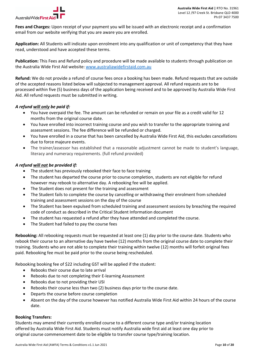

**Fees and Charges:** Upon receipt of your payment you will be issued with an electronic receipt and a confirmation email from our website verifying that you are aware you are enrolled.

**Application:** All Students will indicate upon enrolment into any qualification or unit of competency that they have read, understood and have accepted these terms.

**Publication:** This Fees and Refund policy and procedure will be made available to students through publication on the Australia Wide First Aid website: www.australiawidefirstaid.com.au

**Refund:** We do not provide a refund of course fees once a booking has been made. Refund requests that are outside of the accepted reasons listed below will subjected to management approval. All refund requests are to be processed within five (5) business days of the application being received and to be approved by Australia Wide First Aid. All refund requests must be submitted in writing.

# *A refund will only be paid if:*

- You have overpaid the fee. The amount can be refunded or remain on your file as a credit valid for 12 months from the original course date.
- You have enrolled into incorrect training course and you wish to transfer to the appropriate training and assessment sessions. The fee difference will be refunded or charged.
- You have enrolled in a course that has been cancelled by Australia Wide First Aid, this excludes cancellations due to force majeure events.
- The trainer/assessor has established that a reasonable adjustment cannot be made to student's language, literacy and numeracy requirements. (full refund provided)

# *A refund will not be provided if:*

- The student has previously rebooked their face to face training
- The student has departed the course prior to course completion, students are not eligible for refund however may rebook to alternative day. A rebooking fee will be applied.
- The Student does not present for the training and assessment
- The Student fails to complete the course by cancelling or withdrawing their enrolment from scheduled training and assessment sessions on the day of the course
- The Student has been expulsed from scheduled training and assessment sessions by breaching the required code of conduct as described in the Critical Student Information document
- The student has requested a refund after they have attended and completed the course.
- The Student had failed to pay the course fees

**Rebooking:** All rebooking requests must be requested at least one (1) day prior to the course date. Students who rebook their course to an alternative day have twelve (12) months from the original course date to complete their training. Students who are not able to complete their training within twelve (12) months will forfeit original fees paid. Rebooking fee must be paid prior to the course being rescheduled.

Rebooking booking fee of \$22 including GST will be applied if the student:

- Rebooks their course due to late arrival
- Rebooks due to not completing their E-learning Assessment
- Rebooks due to not providing their USI
- Rebooks their course less than two (2) business days prior to the course date.
- Departs the course before course completion
- Absent on the day of the course however has notified Australia Wide First Aid within 24 hours of the course date.

# **Booking Transfers:**

Students may amend their currently enrolled course to a different course type and/or training location offered by Australia Wide First Aid. Students must notify Australia wide first aid at least one day prior to original course commencement date to be eligible to transfer course type/training location.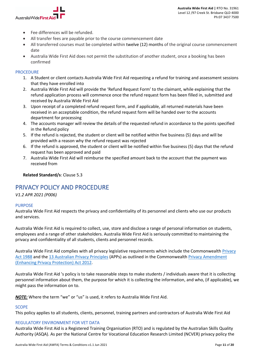

- Fee differences will be refunded.
- All transfer fees are payable prior to the course commencement date
- All transferred courses must be completed within twelve (12) months of the original course commencement date
- Australia Wide First Aid does not permit the substitution of another student, once a booking has been confirmed

# PROCEDURE

- 1. A Student or client contacts Australia Wide First Aid requesting a refund for training and assessment sessions that they have enrolled into
- 2. Australia Wide First Aid will provide the 'Refund Request Form' to the claimant, while explaining that the refund application process will commence once the refund request form has been filled in, submitted and received by Australia Wide First Aid
- 3. Upon receipt of a completed refund request form, and if applicable, all returned materials have been received in an acceptable condition, the refund request form will be handed over to the accounts department for processing
- 4. The accounts manager will review the details of the requested refund in accordance to the points specified in the Refund policy
- 5. If the refund is rejected, the student or client will be notified within five business (5) days and will be provided with a reason why the refund request was rejected
- 6. If the refund is approved, the student or client will be notified within five business (5) days that the refund request has been approved and paid
- 7. Australia Wide First Aid will reimburse the specified amount back to the account that the payment was received from

# **Related Standard/s**: Clause 5.3

# PRIVACY POLICY AND PROCEDURE

*V1.2 APR 2021 (P006)*

# PURPOSE

Australia Wide First Aid respects the privacy and confidentiality of its personnel and clients who use our products and services.

Australia Wide First Aid is required to collect, use, store and disclose a range of personal information on students, employees and a range of other stakeholders. Australia Wide First Aid is seriously committed to maintaining the privacy and confidentiality of all students, clients and personnel records.

Australia Wide First Aid complies with all privacy legislative requirements which include the Commonwealth Privacy Act 1988 and the 13 Australian Privacy Principles (APPs) as outlined in the Commonwealth Privacy Amendment (Enhancing Privacy Protection) Act 2012.

Australia Wide First Aid 's policy is to take reasonable steps to make students / individuals aware that it is collecting personnel information about them, the purpose for which it is collecting the information, and who, (if applicable), we might pass the information on to.

*NOTE:* Where the term "we" or "us" is used, it refers to Australia Wide First Aid.

# SCOPE

This policy applies to all students, clients, personnel, training partners and contractors of Australia Wide First Aid

# REGULATORY ENVIRONMENT FOR VET DATA

Australia Wide First Aid is a Registered Training Organisation (RTO) and is regulated by the Australian Skills Quality Authority (ASQA). As per the National Centre for Vocational Education Research Limited (NCVER) privacy policy the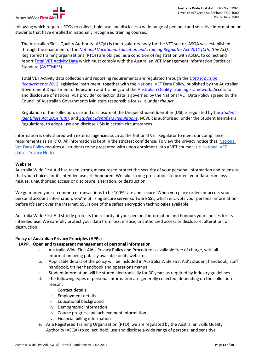

following which requires RTOs to collect, hold, use and discloses a wide range of personal and sensitive information on students that have enrolled in nationally recognised training courses:

The Australian Skills Quality Authority (ASQA) is the regulatory body for the VET sector. ASQA was established through the enactment of the *National Vocational Education and Training Regulator Act 2011 (Cth) (the Act).* Registered training organisations (RTOs) are obliged, as a condition of registration with ASQA, to collect and report Total VET Activity Data which must comply with the Australian VET Management Information Statistical Standard (AVETMISS).

Total VET Activity data collection and reporting requirements are regulated through the *Data Provision Requirements 2012* legislative instrument, together with the National VET Data Policy, published by the Australian Government Department of Education and Training, and the Australian Quality Training Framework. Access to and disclosure of national VET provider collection data is governed by the National VET Data Policy agreed by the Council of Australian Governments Ministers responsible for skills under *the Act.*

Regulation of the collection, use and disclosure of the Unique Student Identifier (USI) is regulated by the *Student Identifiers Act 2014 (Cth)*, and *Student Identifiers Regulations*. NCVER is authorised, under the Student Identifiers Regulations, to adopt, use and disclose USIs in certain circumstances.

Information is only shared with external agencies such as the National VET Regulator to meet our compliance requirements as an RTO. All information is kept in the strictest confidence. To view the privacy notice that National Vet Data Policy requires all students to be presented with upon enrolment into a VET course visit: National VET data – Privacy Notice

# **Website**

Australia Wide First Aid has taken strong measures to protect the security of your personal information and to ensure that your choices for its intended use are honoured. We take strong precautions to protect your data from loss, misuse, unauthorized access or disclosure, alteration, or destruction.

We guarantee your e-commerce transactions to be 100% safe and secure. When you place orders or access your personal account information, you're utilising secure server software SSL, which encrypts your personal information before it's sent over the Internet. SSL is one of the safest encryption technologies available.

Australia Wide First Aid strictly protects the security of your personal information and honours your choices for its intended use. We carefully protect your data from loss, misuse, unauthorized access or disclosure, alteration, or destruction.

# **Policy of Australian Privacy Principles (APPs)**

# **1APP. Open and transparent management of personal information**

- a. Australia Wide First Aid's Privacy Policy and Procedure is available free of charge, with all information being publicly available on its website
- b. Applicable details of the policy will be included in Australia Wide First Aid's student handbook, staff handbook, trainer handbook and operations manual
- c. Student information will be stored electronically for 30 years as required by industry guidelines
- d. The following types of personal information are generally collected, depending on the collection reason:
	- i. Contact details
	- ii. Employment details
	- iii. Educational background
	- iv. Demographic Information
	- v. Course progress and achievement information
	- vi. Financial billing information
- e. As a Registered Training Organisation (RTO), we are regulated by the Australian Skills Quality Authority (ASQA) to collect, hold, use and disclose a wide range of personal and sensitive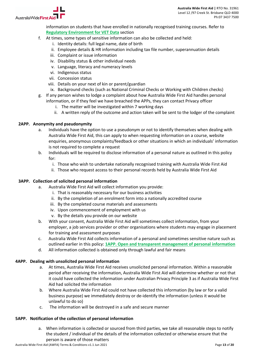

Australia Wide First

information on students that have enrolled in nationally recognised training courses. Refer to **Regulatory Environment for VET Data** section

- f. At times, some types of sensitive information can also be collected and held:
	- i. Identity details: full legal name, date of birth
	- ii. Employee details & HR information including tax file number, superannuation details
	- iii. Complaint or issue information
	- iv. Disability status & other individual needs
	- v. Language, literacy and numeracy levels
	- vi. Indigenous status
	- vii. Concession status
	- viii. Details on your next of kin or parent/guardian
	- ix. Background checks (such as National Criminal Checks or Working with Children checks)
- g. If any person wishes to lodge a complaint about how Australia Wide First Aid handles personal information, or if they feel we have breached the APPs, they can contact Privacy officer
	- i. The matter will be investigated within 7 working days
	- ii. A written reply of the outcome and action taken will be sent to the lodger of the complaint

# **2APP. Anonymity and pseudonymity**

- a. Individuals have the option to use a pseudonym or not to identify themselves when dealing with Australia Wide First Aid, this can apply to when requesting information on a course, website enquiries, anonymous complaints/feedback or other situations in which an individuals' information is not required to complete a request
- b. Individuals will be required to disclose information of a personal nature as outlined in this policy for:
	- i. Those who wish to undertake nationally recognised training with Australia Wide First Aid
	- ii. Those who request access to their personal records held by Australia Wide First Aid

# **3APP. Collection of solicited personal information**

- a. Australia Wide First Aid will collect information you provide:
	- i. That is reasonably necessary for our business activities
	- ii. By the completion of an enrolment form into a nationally accredited course
	- iii. By the completed course materials and assessments
	- iv. Upon commencement of employment with us
	- v. By the details you provide on our website
- b. With your consent, Australia Wide First Aid will sometimes collect information, from your employer, a job services provider or other organisations where students may engage in placement for training and assessment purposes
- c. Australia Wide First Aid collects information of a personal and sometimes sensitive nature such as outlined earlier in this policy: **1APP. Open and transparent management of personal information**
- d. All information collected is obtained only through lawful and fair means

# **4APP. Dealing with unsolicited personal information**

- a. At times, Australia Wide First Aid receives unsolicited personal information. Within a reasonable period after receiving the information, Australia Wide First Aid will determine whether or not that it could have collected the information under Australian Privacy Principle 3 as if Australia Wide First Aid had solicited the information
- b. Where Australia Wide First Aid could not have collected this information (by law or for a valid business purpose) we immediately destroy or de-identify the information (unless it would be unlawful to do so)
- c. The information will be destroyed in a safe and secure manner

# **5APP. Notification of the collection of personal information**

a. When information is collected or sourced from third parties, we take all reasonable steps to notify the student / individual of the details of the information collected or otherwise ensure that the person is aware of those matters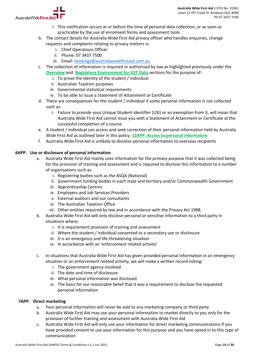

- i. This notification occurs at or before the time of personal data collection, or as soon as practicable by the use of enrolment forms and assessment tools
- b. The contact details for Australia Wide First Aid privacy officer who handles enquiries, change requests and complaints relating to privacy matters is:
	- i. Chief Operations Officer
	- ii. Phone: 07 3437 7500
	- iii. Email: bookings@australiawidefirstaid.com.au
- c. The collection of information is required or authorised by law as highlighted previously under the **Overview** and **Regulatory Environment for VET Data** sections for the purpose of:
	- i. To prove the identity of the student / individual
	- ii. Australian Taxation purposes
	- iii. Governmental statistical requirements
	- iv. To be able to issue a Statement of Attainment or Certificate
- d. There are consequences for the student / individual if some personal information is not collected such as:
	- i. Failure to provide your Unique Student identifier (USI) or an exemption from it, will mean that Australia Wide First Aid cannot issue you with a Statement of Attainment or Certificate at the successful completion of a course
- e. A student / individual can access and seek correction of their personal information held by Australia Wide First Aid as outlined later in this policy: **12APP. Access to personal information**
- f. Australia Wide First Aid is unlikely to disclose personal information to overseas recipients

# **6APP. Use or disclosure of personal information**

- a. Australia Wide First Aid mainly uses information for the primary purpose that it was collected being for the provision of training and assessment and is required to disclose this information to a number of organisations such as:
	- i. Registering bodies such as the ASQA (National)
	- ii. Government funding bodies in each state and territory and/or Commonwealth Government
	- iii. Apprenticeship Centres
	- iv. Employers and Job Services Providers
	- v. External auditors and our consultants
	- vi. The Australian Taxation Office
	- vii. Other entities required by law and in accordance with the Privacy Act 1988.
- b. Australia Wide First Aid will only disclose personal or sensitive information to a third party in situations where;
	- i. It is requirement provision of training and assessment
	- ii. Where the student / individual consented to a secondary use or disclosure
	- iii. It is an emergency and life-threatening situation
	- iv. In accordance with an 'enforcement related activity'
- c. In situations that Australia Wide First Aid has given provided personal information in an emergency situation or an enforcement related activity, we will make a written record noting:
	- i. The government agency involved
	- ii. The date and time of disclosure
	- iii. What personal information was disclosed
	- iv. The basis for our reasonable belief that it was a requirement to disclose the requested personal information

# **7APP. Direct marketing**

- a. Your personal information will never be sold to any marketing company or third party
- b. Australia Wide First Aid may use your personal information to market directly to you only for the provision of further training and assessment with Australia Wide First Aid
- c. Australia Wide First Aid will only use your information for direct marketing communications if you have provided consent to use your information for this purpose and you have opted-in to this type of communication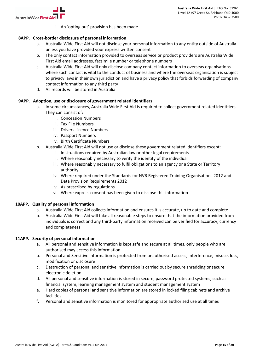

i. An 'opting out' provision has been made

# **8APP. Cross-border disclosure of personal information**

- a. Australia Wide First Aid will not disclose your personal information to any entity outside of Australia unless you have provided your express written consent
- b. The only contact information provided to overseas service or product providers are Australia Wide First Aid email addresses, facsimile number or telephone numbers
- c. Australia Wide First Aid will only disclose company contact information to overseas organisations where such contact is vital to the conduct of business and where the overseas organisation is subject to privacy laws in their own jurisdiction and have a privacy policy that forbids forwarding of company contact information to any third party
- d. All records will be stored in Australia

# **9APP. Adoption, use or disclosure of government related identifiers**

- a. In some circumstances, Australia Wide First Aid is required to collect government related identifiers. They can consist of:
	- i. Concession Numbers
	- ii. Tax File Numbers
	- iii. Drivers Licence Numbers
	- iv. Passport Numbers
	- v. Birth Certificate Numbers
- b. Australia Wide First Aid will not use or disclose these government related identifiers except:
	- i. In situations required by Australian law or other legal requirements
	- ii. Where reasonably necessary to verify the identity of the individual
	- iii. Where reasonably necessary to fulfil obligations to an agency or a State or Territory authority
	- iv. Where required under the Standards for NVR Registered Training Organisations 2012 and Data Provision Requirements 2012
	- v. As prescribed by regulations
	- vi. Where express consent has been given to disclose this information

#### **10APP. Quality of personal information**

- a. Australia Wide First Aid collects information and ensures it is accurate, up to date and complete
- b. Australia Wide First Aid will take all reasonable steps to ensure that the information provided from individuals is correct and any third-party information received can be verified for accuracy, currency and completeness

# **11APP. Security of personal information**

- a. All personal and sensitive information is kept safe and secure at all times, only people who are authorised may access this information
- b. Personal and Sensitive information is protected from unauthorised access, interference, misuse, loss, modification or disclosure
- c. Destruction of personal and sensitive information is carried out by secure shredding or secure electronic deletion
- d. All personal and sensitive information is stored in secure, password protected systems, such as financial system, learning management system and student management system
- e. Hard copies of personal and sensitive information are stored in locked filing cabinets and archive facilities
- f. Personal and sensitive information is monitored for appropriate authorised use at all times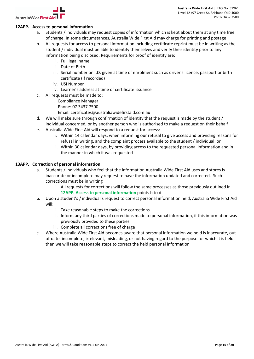

# **12APP. Access to personal information**

- a. Students / individuals may request copies of information which is kept about them at any time free of charge. In some circumstances, Australia Wide First Aid may charge for printing and postage
- b. All requests for access to personal information including certificate reprint must be in writing as the student / individual must be able to identify themselves and verify their identity prior to any information being disclosed. Requirements for proof of identity are:
	- i. Full legal name
	- ii. Date of Birth
	- iii. Serial number on I.D. given at time of enrolment such as driver's licence, passport or birth certificate (If recorded)
	- iv. USI Number
	- v. Learner's address at time of certificate issuance
- c. All requests must be made to:
	- i. Compliance Manager
		- Phone: 07 3437 7500
		- Email: certificates@australiawidefirstaid.com.au
- d. We will make sure through confirmation of identity that the request is made by the student / individual concerned, or by another person who is authorised to make a request on their behalf
- e. Australia Wide First Aid will respond to a request for access:
	- i. Within 14 calendar days, when informing our refusal to give access and providing reasons for refusal in writing, and the complaint process available to the student / individual; or
	- ii. Within 30 calendar days, by providing access to the requested personal information and in the manner in which it was requested

# **13APP. Correction of personal information**

- a. Students / individuals who feel that the information Australia Wide First Aid uses and stores is inaccurate or incomplete may request to have the information updated and corrected. Such corrections must be in writing
	- i. All requests for corrections will follow the same processes as those previously outlined in **12APP. Access to personal information** points b to d
- b. Upon a student's / individual's request to correct personal information held, Australia Wide First Aid will:
	- i. Take reasonable steps to make the corrections
	- ii. Inform any third parties of corrections made to personal information, if this information was previously provided to these parties
	- iii. Complete all corrections free of charge
- c. Where Australia Wide First Aid becomes aware that personal information we hold is inaccurate, outof-date, incomplete, irrelevant, misleading, or not having regard to the purpose for which it is held, then we will take reasonable steps to correct the held personal information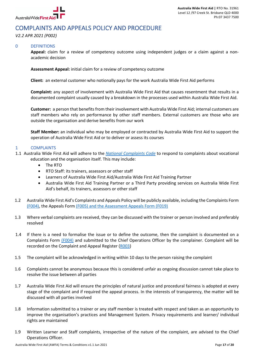

# COMPLAINTS AND APPEALS POLICY AND PROCEDURE

*V2.2 APR 2021 (P002)*

# 0 DEFINITIONS

**Appeal:** claim for a review of competency outcome using independent judges or a claim against a nonacademic decision

**Assessment Appeal:** initial claim for a review of competency outcome

**Client:** an external customer who notionally pays for the work Australia Wide First Aid performs

**Complaint:** any aspect of involvement with Australia Wide First Aid that causes resentment that results in a documented complaint usually caused by a breakdown in the processes used within Australia Wide First Aid.

**Customer:** a person that benefits from their involvement with Australia Wide First Aid; internal customers are staff members who rely on performance by other staff members. External customers are those who are outside the organisation and derive benefits from our work

**Staff Member:** an individual who may be employed or contracted by Australia Wide First Aid to support the operation of Australia Wide First Aid or to deliver or assess its courses

# 1 COMPLAINTS

- 1.1 Australia Wide First Aid will adhere to the *National Complaints Code* to respond to complaints about vocational education and the organisation itself. This may include:
	- The RTO
	- RTO Staff: its trainers, assessors or other staff
	- Learners of Australia Wide First Aid/Australia Wide First Aid Training Partner
	- Australia Wide First Aid Training Partner or a Third Party providing services on Australia Wide First Aid's behalf, its trainers, assessors or other staff
- 1.2 Australia Wide First Aid's Complaints and Appeals Policy will be publicly available, including the Complaints Form (F004), the Appeals Form (F005) and the Assessment Appeals Form (F019)
- 1.3 Where verbal complaints are received, they can be discussed with the trainer or person involved and preferably resolved
- 1.4 If there is a need to formalise the issue or to define the outcome, then the complaint is documented on a Complaints Form (F004) and submitted to the Chief Operations Officer by the complainer. Complaint will be recorded on the Complaint and Appeal Register (R003)
- 1.5 The complaint will be acknowledged in writing within 10 days to the person raising the complaint
- 1.6 Complaints cannot be anonymous because this is considered unfair as ongoing discussion cannot take place to resolve the issue between all parties
- 1.7 Australia Wide First Aid will ensure the principles of natural justice and procedural fairness is adopted at every stage of the complaint and if required the appeal process. In the interests of transparency, the matter will be discussed with all parties involved
- 1.8 Information submitted to a trainer or any staff member is treated with respect and taken as an opportunity to improve the organisation's practices and Management System. Privacy requirements and learner/ individual rights are maintained
- 1.9 Written Learner and Staff complaints, irrespective of the nature of the complaint, are advised to the Chief Operations Officer.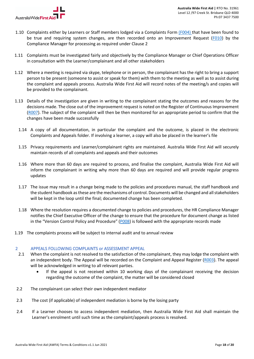

- 1.10 Complaints either by Learners or Staff members lodged via a Complaints Form (F004) that have been found to be true and requiring system changes, are then recorded onto an Improvement Request (F010) by the Compliance Manager for processing as required under Clause 2
- 1.11 Complaints must be investigated fairly and objectively by the Compliance Manager or Chief Operations Officer in consultation with the Learner/complainant and all other stakeholders
- 1.12 Where a meeting is required via skype, telephone or in person, the complainant has the right to bring a support person to be present (someone to assist or speak for them) with them to the meeting as well as to assist during the complaint and appeals process. Australia Wide First Aid will record notes of the meeting/s and copies will be provided to the complainant.
- 1.13 Details of the investigation are given in writing to the complainant stating the outcomes and reasons for the decisions made. The close out of the improvement request is noted on the Register of Continuous Improvement (R007). The subject of the complaint will then be then monitored for an appropriate period to confirm that the changes have been made successfully
	- 1.14 A copy of all documentation, in particular the complaint and the outcome, is placed in the electronic Complaints and Appeals folder. If involving a learner, a copy will also be placed in the learner's file
	- 1.15 Privacy requirements and Learner/complainant rights are maintained. Australia Wide First Aid will securely maintain records of all complaints and appeals and their outcomes
	- 1.16 Where more than 60 days are required to process, and finalise the complaint, Australia Wide First Aid will inform the complainant in writing why more than 60 days are required and will provide regular progress updates
	- 1.17 The issue may result in a change being made to the policies and procedures manual, the staff handbook and the student handbook as these are the mechanisms of control. Documents will be changed and all stakeholders will be kept in the loop until the final; documented change has been completed.
	- 1.18 Where the resolution requires a documented change to policies and procedures, the HR Compliance Manager notifies the Chief Executive Officer of the change to ensure that the procedure for document change as listed in the "Version Control Policy and Procedure" (P008) is followed with the appropriate records made
- 1.19 The complaints process will be subject to internal audit and to annual review

# 2 APPEALS FOLLOWING COMPLAINTS or ASSESSMENT APPEAL

- 2.1 When the complaint is not resolved to the satisfaction of the complainant, they may lodge the complaint with an independent body. The Appeal will be recorded on the Complaint and Appeal Register (R003). The appeal will be acknowledged in writing to all relevant parties.
	- If the appeal is not received within 10 working days of the complainant receiving the decision regarding the outcome of the complaint, the matter will be considered closed
- 2.2 The complainant can select their own independent mediator
- 2.3 The cost (if applicable) of independent mediation is borne by the losing party
- 2.4 If a Learner chooses to access independent mediation, then Australia Wide First Aid shall maintain the Learner's enrolment until such time as the complaint/appeals process is resolved.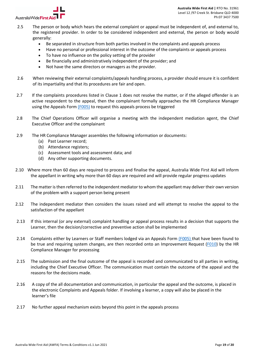

- 2.5 The person or body which hears the external complaint or appeal must be independent of, and external to, the registered provider. In order to be considered independent and external, the person or body would generally:
	- Be separated in structure from both parties involved in the complaints and appeals process
	- Have no personal or professional interest in the outcome of the complaints or appeals process
	- To have no influence on the policy setting of the provider
	- Be financially and administratively independent of the provider; and
	- Not have the same directors or managers as the provider.
- 2.6 When reviewing their external complaints/appeals handling process, a provider should ensure it is confident of its impartiality and that its procedures are fair and open.
- 2.7 If the complaints procedures listed in Clause 1 does not resolve the matter, or if the alleged offender is an active respondent to the appeal, then the complainant formally approaches the HR Compliance Manager using the Appeals Form (F005) to request this appeals process be triggered
- 2.8 The Chief Operations Officer will organise a meeting with the independent mediation agent, the Chief Executive Officer and the complainant
- 2.9 The HR Compliance Manager assembles the following information or documents:
	- (a) Past Learner record;
	- (b) Attendance registers;
	- (c) Assessment tools and assessment data; and
	- (d) Any other supporting documents.
- 2.10 Where more than 60 days are required to process and finalise the appeal, Australia Wide First Aid will inform the appellant in writing why more than 60 days are required and will provide regular progress updates
- 2.11 The matter is then referred to the independent mediator to whom the appellant may deliver their own version of the problem with a support person being present
- 2.12 The independent mediator then considers the issues raised and will attempt to resolve the appeal to the satisfaction of the appellant
- 2.13 If this internal (or any external) complaint handling or appeal process results in a decision that supports the Learner, then the decision/corrective and preventive action shall be implemented
- 2.14 Complaints either by Learners or Staff members lodged via an Appeals Form (F005) that have been found to be true and requiring system changes, are then recorded onto an Improvement Request (F010) by the HR Compliance Manager for processing
- 2.15 The submission and the final outcome of the appeal is recorded and communicated to all parties in writing, including the Chief Executive Officer. The communication must contain the outcome of the appeal and the reasons for the decisions made.
- 2.16 A copy of the all documentation and communication, in particular the appeal and the outcome, is placed in the electronic Complaints and Appeals folder. If involving a learner, a copy will also be placed in the learner's file
- 2.17 No further appeal mechanism exists beyond this point in the appeals process